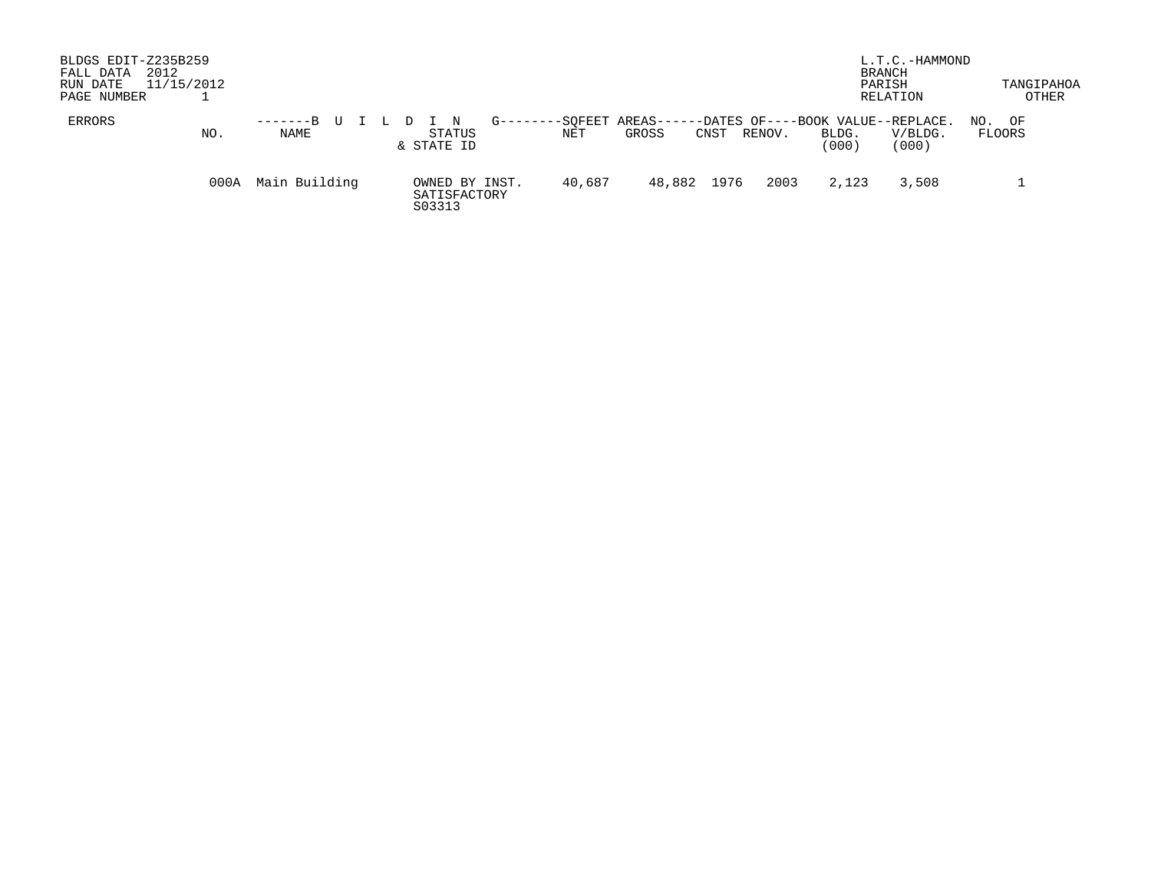| BLDGS EDIT-Z235B259<br>2012<br>FALL DATA<br>RUN DATE<br>PAGE NUMBER | 11/15/2012 |                |  |  |                        |                |                           |       |        |      |        |      |                                                     | L.T.C.-HAMMOND<br><b>BRANCH</b><br>PARISH<br>RELATION |     | TANGIPAHOA<br>OTHER |
|---------------------------------------------------------------------|------------|----------------|--|--|------------------------|----------------|---------------------------|-------|--------|------|--------|------|-----------------------------------------------------|-------------------------------------------------------|-----|---------------------|
| ERRORS                                                              | NO.        | $---B$<br>NAME |  |  | STATUS<br>& STATE ID   | $G$ ------     | -SOFEET AREAS-----<br>NET | GROSS |        | CNST | RENOV. |      | -DATES OF----BOOK VALUE--REPLACE.<br>BLDG.<br>(000) | V/BLDG.<br>(000)                                      | NO. | OF<br>FLOORS        |
|                                                                     | 000A       | Main Building  |  |  | SATISFACTORY<br>S03313 | OWNED BY INST. | 40,687                    |       | 48,882 | 1976 |        | 2003 | 2,123                                               | 3,508                                                 |     |                     |